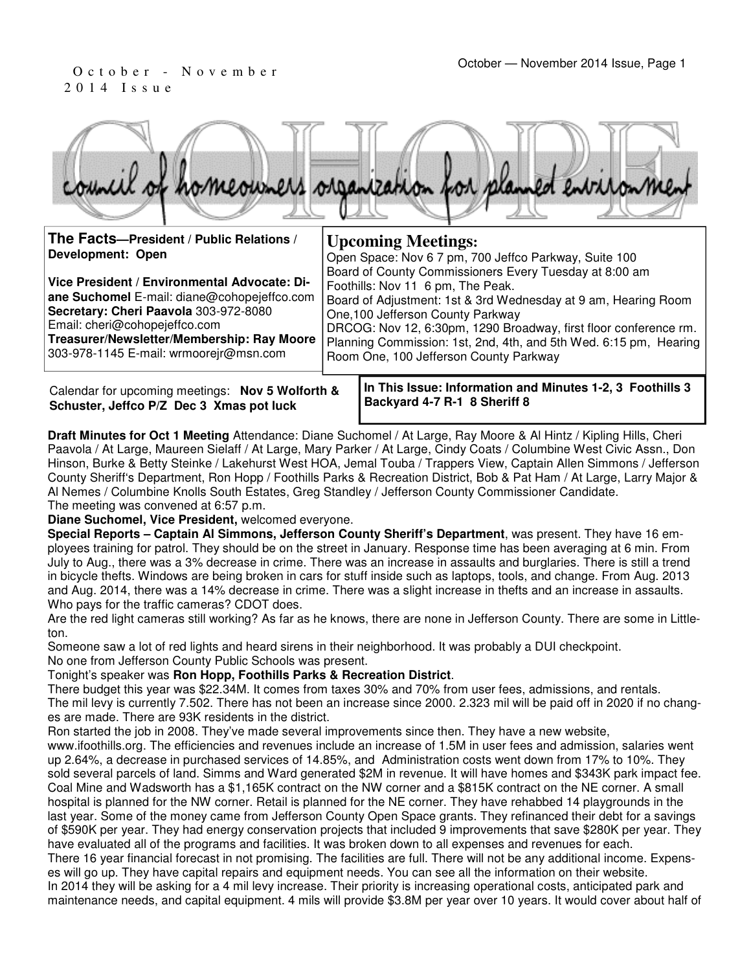# 2 0 1 4 I s s u e

|                                                                                                                                                                       | council of homeowners organization for planned environment                                                                                                                                                                                                             |
|-----------------------------------------------------------------------------------------------------------------------------------------------------------------------|------------------------------------------------------------------------------------------------------------------------------------------------------------------------------------------------------------------------------------------------------------------------|
| The Facts-President / Public Relations /<br>Development: Open                                                                                                         | <b>Upcoming Meetings:</b><br>Open Space: Nov 6 7 pm, 700 Jeffco Parkway, Suite 100                                                                                                                                                                                     |
| Vice President / Environmental Advocate: Di-<br>ane Suchomel E-mail: diane@cohopejeffco.com<br>Secretary: Cheri Paavola 303-972-8080<br>Email: cheri@cohopejeffco.com | Board of County Commissioners Every Tuesday at 8:00 am<br>Foothills: Nov 11 6 pm, The Peak.<br>Board of Adjustment: 1st & 3rd Wednesday at 9 am, Hearing Room<br>One, 100 Jefferson County Parkway<br>DRCOG: Nov 12, 6:30pm, 1290 Broadway, first floor conference rm. |

**Treasurer/Newsletter/Membership: Ray Moore**  303-978-1145 E-mail: wrmoorejr@msn.com

Calendar for upcoming meetings: **Nov 5 Wolforth & Schuster, Jeffco P/Z Dec 3 Xmas pot luck**

**In This Issue: Information and Minutes 1-2, 3 Foothills 3 Backyard 4-7 R-1 8 Sheriff 8** 

Planning Commission: 1st, 2nd, 4th, and 5th Wed. 6:15 pm, Hearing

Room One, 100 Jefferson County Parkway

**Draft Minutes for Oct 1 Meeting** Attendance: Diane Suchomel / At Large, Ray Moore & Al Hintz / Kipling Hills, Cheri Paavola / At Large, Maureen Sielaff / At Large, Mary Parker / At Large, Cindy Coats / Columbine West Civic Assn., Don Hinson, Burke & Betty Steinke / Lakehurst West HOA, Jemal Touba / Trappers View, Captain Allen Simmons / Jefferson County Sheriff's Department, Ron Hopp / Foothills Parks & Recreation District, Bob & Pat Ham / At Large, Larry Major & Al Nemes / Columbine Knolls South Estates, Greg Standley / Jefferson County Commissioner Candidate. The meeting was convened at 6:57 p.m.

**Diane Suchomel, Vice President,** welcomed everyone.

**Special Reports – Captain Al Simmons, Jefferson County Sheriff's Department**, was present. They have 16 employees training for patrol. They should be on the street in January. Response time has been averaging at 6 min. From July to Aug., there was a 3% decrease in crime. There was an increase in assaults and burglaries. There is still a trend in bicycle thefts. Windows are being broken in cars for stuff inside such as laptops, tools, and change. From Aug. 2013 and Aug. 2014, there was a 14% decrease in crime. There was a slight increase in thefts and an increase in assaults. Who pays for the traffic cameras? CDOT does.

Are the red light cameras still working? As far as he knows, there are none in Jefferson County. There are some in Littleton.

Someone saw a lot of red lights and heard sirens in their neighborhood. It was probably a DUI checkpoint. No one from Jefferson County Public Schools was present.

Tonight's speaker was **Ron Hopp, Foothills Parks & Recreation District**.

There budget this year was \$22.34M. It comes from taxes 30% and 70% from user fees, admissions, and rentals. The mil levy is currently 7.502. There has not been an increase since 2000. 2.323 mil will be paid off in 2020 if no changes are made. There are 93K residents in the district.

Ron started the job in 2008. They've made several improvements since then. They have a new website,

www.ifoothills.org. The efficiencies and revenues include an increase of 1.5M in user fees and admission, salaries went up 2.64%, a decrease in purchased services of 14.85%, and Administration costs went down from 17% to 10%. They sold several parcels of land. Simms and Ward generated \$2M in revenue. It will have homes and \$343K park impact fee. Coal Mine and Wadsworth has a \$1,165K contract on the NW corner and a \$815K contract on the NE corner. A small hospital is planned for the NW corner. Retail is planned for the NE corner. They have rehabbed 14 playgrounds in the last year. Some of the money came from Jefferson County Open Space grants. They refinanced their debt for a savings of \$590K per year. They had energy conservation projects that included 9 improvements that save \$280K per year. They have evaluated all of the programs and facilities. It was broken down to all expenses and revenues for each. There 16 year financial forecast in not promising. The facilities are full. There will not be any additional income. Expenses will go up. They have capital repairs and equipment needs. You can see all the information on their website. In 2014 they will be asking for a 4 mil levy increase. Their priority is increasing operational costs, anticipated park and maintenance needs, and capital equipment. 4 mils will provide \$3.8M per year over 10 years. It would cover about half of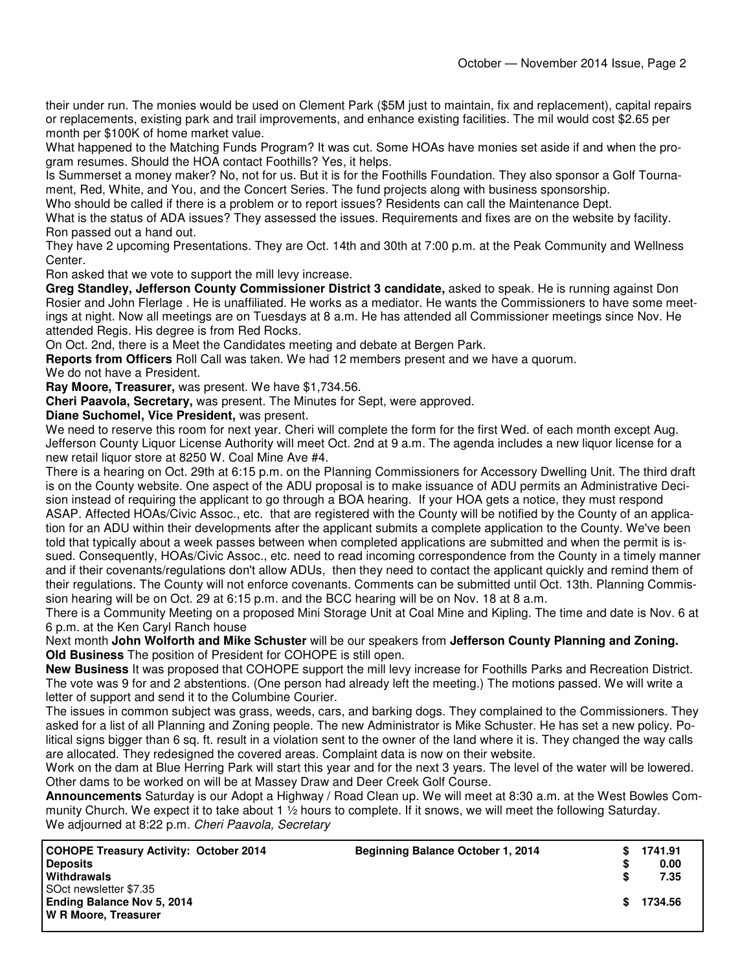their under run. The monies would be used on Clement Park (\$5M just to maintain, fix and replacement), capital repairs or replacements, existing park and trail improvements, and enhance existing facilities. The mil would cost \$2.65 per month per \$100K of home market value.

What happened to the Matching Funds Program? It was cut. Some HOAs have monies set aside if and when the program resumes. Should the HOA contact Foothills? Yes, it helps.

Is Summerset a money maker? No, not for us. But it is for the Foothills Foundation. They also sponsor a Golf Tournament, Red, White, and You, and the Concert Series. The fund projects along with business sponsorship.

Who should be called if there is a problem or to report issues? Residents can call the Maintenance Dept.

What is the status of ADA issues? They assessed the issues. Requirements and fixes are on the website by facility. Ron passed out a hand out.

They have 2 upcoming Presentations. They are Oct. 14th and 30th at 7:00 p.m. at the Peak Community and Wellness Center.

Ron asked that we vote to support the mill levy increase.

**Greg Standley, Jefferson County Commissioner District 3 candidate,** asked to speak. He is running against Don Rosier and John Flerlage . He is unaffiliated. He works as a mediator. He wants the Commissioners to have some meetings at night. Now all meetings are on Tuesdays at 8 a.m. He has attended all Commissioner meetings since Nov. He attended Regis. His degree is from Red Rocks.

On Oct. 2nd, there is a Meet the Candidates meeting and debate at Bergen Park.

**Reports from Officers** Roll Call was taken. We had 12 members present and we have a quorum.

We do not have a President.

**Ray Moore, Treasurer,** was present. We have \$1,734.56.

**Cheri Paavola, Secretary,** was present. The Minutes for Sept, were approved.

**Diane Suchomel, Vice President,** was present.

We need to reserve this room for next year. Cheri will complete the form for the first Wed. of each month except Aug. Jefferson County Liquor License Authority will meet Oct. 2nd at 9 a.m. The agenda includes a new liquor license for a new retail liquor store at 8250 W. Coal Mine Ave #4.

There is a hearing on Oct. 29th at 6:15 p.m. on the Planning Commissioners for Accessory Dwelling Unit. The third draft is on the County website. One aspect of the ADU proposal is to make issuance of ADU permits an Administrative Decision instead of requiring the applicant to go through a BOA hearing. If your HOA gets a notice, they must respond ASAP. Affected HOAs/Civic Assoc., etc. that are registered with the County will be notified by the County of an application for an ADU within their developments after the applicant submits a complete application to the County. We've been told that typically about a week passes between when completed applications are submitted and when the permit is issued. Consequently, HOAs/Civic Assoc., etc. need to read incoming correspondence from the County in a timely manner and if their covenants/regulations don't allow ADUs, then they need to contact the applicant quickly and remind them of their regulations. The County will not enforce covenants. Comments can be submitted until Oct. 13th. Planning Commission hearing will be on Oct. 29 at 6:15 p.m. and the BCC hearing will be on Nov. 18 at 8 a.m.

There is a Community Meeting on a proposed Mini Storage Unit at Coal Mine and Kipling. The time and date is Nov. 6 at 6 p.m. at the Ken Caryl Ranch house

Next month **John Wolforth and Mike Schuster** will be our speakers from **Jefferson County Planning and Zoning. Old Business** The position of President for COHOPE is still open.

**New Business** It was proposed that COHOPE support the mill levy increase for Foothills Parks and Recreation District. The vote was 9 for and 2 abstentions. (One person had already left the meeting.) The motions passed. We will write a letter of support and send it to the Columbine Courier.

The issues in common subject was grass, weeds, cars, and barking dogs. They complained to the Commissioners. They asked for a list of all Planning and Zoning people. The new Administrator is Mike Schuster. He has set a new policy. Political signs bigger than 6 sq. ft. result in a violation sent to the owner of the land where it is. They changed the way calls are allocated. They redesigned the covered areas. Complaint data is now on their website.

Work on the dam at Blue Herring Park will start this year and for the next 3 years. The level of the water will be lowered. Other dams to be worked on will be at Massey Draw and Deer Creek Golf Course.

**Announcements** Saturday is our Adopt a Highway / Road Clean up. We will meet at 8:30 a.m. at the West Bowles Community Church. We expect it to take about 1 ½ hours to complete. If it snows, we will meet the following Saturday. We adjourned at 8:22 p.m. Cheri Paavola, Secretary

| COHOPE Treasury Activity: October 2014<br><b>Deposits</b><br>Withdrawals            | <b>Beginning Balance October 1, 2014</b> |    | 1741.91<br>0.00<br>7.35 |
|-------------------------------------------------------------------------------------|------------------------------------------|----|-------------------------|
| SOct newsletter \$7.35<br><b>Ending Balance Nov 5, 2014</b><br>W R Moore, Treasurer |                                          | S. | 1734.56                 |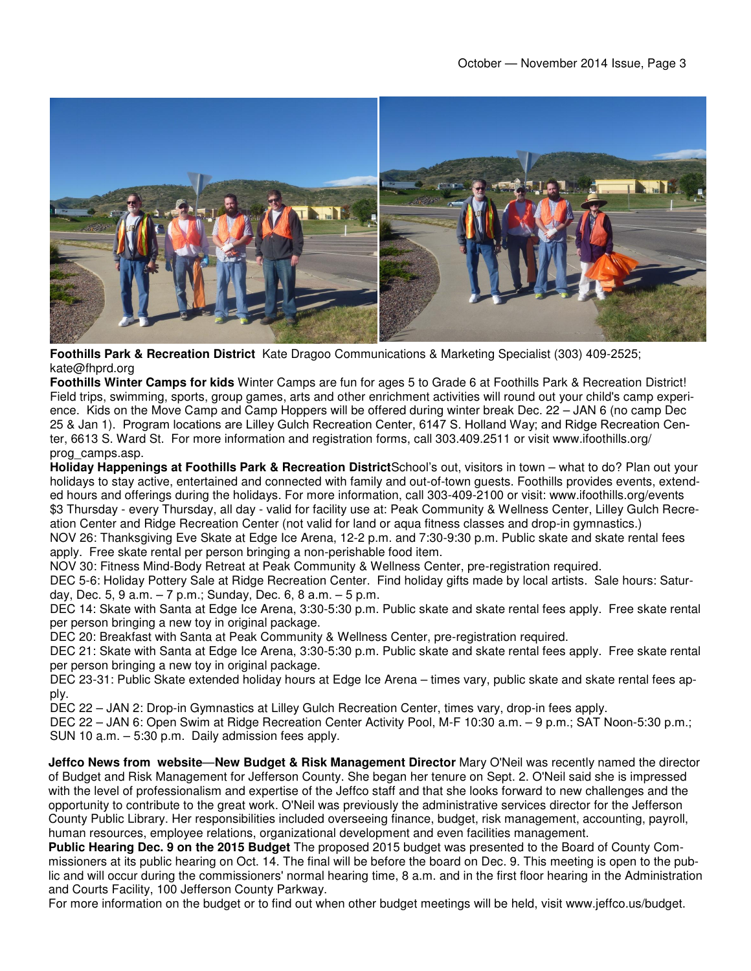

**Foothills Park & Recreation District** Kate Dragoo Communications & Marketing Specialist (303) 409-2525; kate@fhprd.org

**Foothills Winter Camps for kids** Winter Camps are fun for ages 5 to Grade 6 at Foothills Park & Recreation District! Field trips, swimming, sports, group games, arts and other enrichment activities will round out your child's camp experience. Kids on the Move Camp and Camp Hoppers will be offered during winter break Dec. 22 – JAN 6 (no camp Dec 25 & Jan 1). Program locations are Lilley Gulch Recreation Center, 6147 S. Holland Way; and Ridge Recreation Center, 6613 S. Ward St. For more information and registration forms, call 303.409.2511 or visit www.ifoothills.org/ prog\_camps.asp.

**Holiday Happenings at Foothills Park & Recreation District**School's out, visitors in town – what to do? Plan out your holidays to stay active, entertained and connected with family and out-of-town guests. Foothills provides events, extended hours and offerings during the holidays. For more information, call 303-409-2100 or visit: www.ifoothills.org/events \$3 Thursday - every Thursday, all day - valid for facility use at: Peak Community & Wellness Center, Lilley Gulch Recreation Center and Ridge Recreation Center (not valid for land or aqua fitness classes and drop-in gymnastics.) NOV 26: Thanksgiving Eve Skate at Edge Ice Arena, 12-2 p.m. and 7:30-9:30 p.m. Public skate and skate rental fees apply. Free skate rental per person bringing a non-perishable food item.

NOV 30: Fitness Mind-Body Retreat at Peak Community & Wellness Center, pre-registration required.

DEC 5-6: Holiday Pottery Sale at Ridge Recreation Center. Find holiday gifts made by local artists. Sale hours: Saturday, Dec. 5, 9 a.m.  $-7$  p.m.; Sunday, Dec. 6, 8 a.m.  $-5$  p.m.

DEC 14: Skate with Santa at Edge Ice Arena, 3:30-5:30 p.m. Public skate and skate rental fees apply. Free skate rental per person bringing a new toy in original package.

DEC 20: Breakfast with Santa at Peak Community & Wellness Center, pre-registration required.

DEC 21: Skate with Santa at Edge Ice Arena, 3:30-5:30 p.m. Public skate and skate rental fees apply. Free skate rental per person bringing a new toy in original package.

DEC 23-31: Public Skate extended holiday hours at Edge Ice Arena – times vary, public skate and skate rental fees apply.

DEC 22 – JAN 2: Drop-in Gymnastics at Lilley Gulch Recreation Center, times vary, drop-in fees apply.

DEC 22 – JAN 6: Open Swim at Ridge Recreation Center Activity Pool, M-F 10:30 a.m. – 9 p.m.; SAT Noon-5:30 p.m.; SUN 10 a.m. – 5:30 p.m. Daily admission fees apply.

**Jeffco News from website**—**New Budget & Risk Management Director** Mary O'Neil was recently named the director of Budget and Risk Management for Jefferson County. She began her tenure on Sept. 2. O'Neil said she is impressed with the level of professionalism and expertise of the Jeffco staff and that she looks forward to new challenges and the opportunity to contribute to the great work. O'Neil was previously the administrative services director for the Jefferson County Public Library. Her responsibilities included overseeing finance, budget, risk management, accounting, payroll, human resources, employee relations, organizational development and even facilities management.

**Public Hearing Dec. 9 on the 2015 Budget** The proposed 2015 budget was presented to the Board of County Commissioners at its public hearing on Oct. 14. The final will be before the board on Dec. 9. This meeting is open to the public and will occur during the commissioners' normal hearing time, 8 a.m. and in the first floor hearing in the Administration and Courts Facility, 100 Jefferson County Parkway.

For more information on the budget or to find out when other budget meetings will be held, visit www.jeffco.us/budget.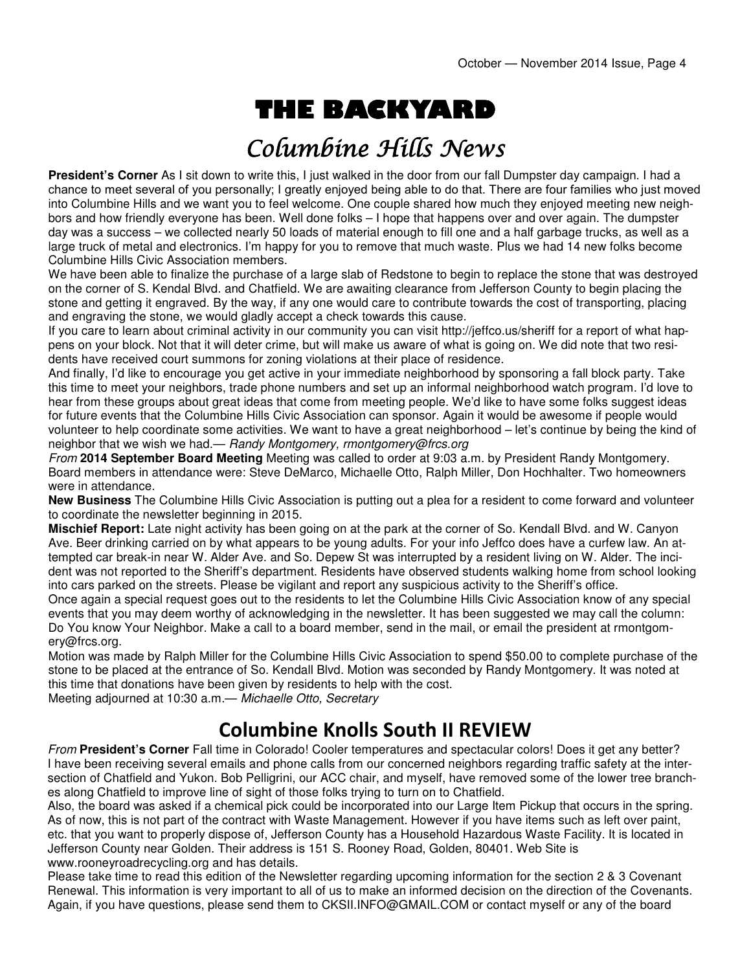# THE BACKYARD

## Columbine Hills News

**President's Corner** As I sit down to write this, I just walked in the door from our fall Dumpster day campaign. I had a chance to meet several of you personally; I greatly enjoyed being able to do that. There are four families who just moved into Columbine Hills and we want you to feel welcome. One couple shared how much they enjoyed meeting new neighbors and how friendly everyone has been. Well done folks – I hope that happens over and over again. The dumpster day was a success – we collected nearly 50 loads of material enough to fill one and a half garbage trucks, as well as a large truck of metal and electronics. I'm happy for you to remove that much waste. Plus we had 14 new folks become Columbine Hills Civic Association members.

We have been able to finalize the purchase of a large slab of Redstone to begin to replace the stone that was destroyed on the corner of S. Kendal Blvd. and Chatfield. We are awaiting clearance from Jefferson County to begin placing the stone and getting it engraved. By the way, if any one would care to contribute towards the cost of transporting, placing and engraving the stone, we would gladly accept a check towards this cause.

If you care to learn about criminal activity in our community you can visit http://jeffco.us/sheriff for a report of what happens on your block. Not that it will deter crime, but will make us aware of what is going on. We did note that two residents have received court summons for zoning violations at their place of residence.

And finally, I'd like to encourage you get active in your immediate neighborhood by sponsoring a fall block party. Take this time to meet your neighbors, trade phone numbers and set up an informal neighborhood watch program. I'd love to hear from these groups about great ideas that come from meeting people. We'd like to have some folks suggest ideas for future events that the Columbine Hills Civic Association can sponsor. Again it would be awesome if people would volunteer to help coordinate some activities. We want to have a great neighborhood – let's continue by being the kind of neighbor that we wish we had.— Randy Montgomery, rmontgomery@frcs.org

From **2014 September Board Meeting** Meeting was called to order at 9:03 a.m. by President Randy Montgomery. Board members in attendance were: Steve DeMarco, Michaelle Otto, Ralph Miller, Don Hochhalter. Two homeowners were in attendance.

**New Business** The Columbine Hills Civic Association is putting out a plea for a resident to come forward and volunteer to coordinate the newsletter beginning in 2015.

**Mischief Report:** Late night activity has been going on at the park at the corner of So. Kendall Blvd. and W. Canyon Ave. Beer drinking carried on by what appears to be young adults. For your info Jeffco does have a curfew law. An attempted car break-in near W. Alder Ave. and So. Depew St was interrupted by a resident living on W. Alder. The incident was not reported to the Sheriff's department. Residents have observed students walking home from school looking into cars parked on the streets. Please be vigilant and report any suspicious activity to the Sheriff's office.

Once again a special request goes out to the residents to let the Columbine Hills Civic Association know of any special events that you may deem worthy of acknowledging in the newsletter. It has been suggested we may call the column: Do You know Your Neighbor. Make a call to a board member, send in the mail, or email the president at rmontgomery@frcs.org.

Motion was made by Ralph Miller for the Columbine Hills Civic Association to spend \$50.00 to complete purchase of the stone to be placed at the entrance of So. Kendall Blvd. Motion was seconded by Randy Montgomery. It was noted at this time that donations have been given by residents to help with the cost.

Meeting adjourned at 10:30 a.m.— Michaelle Otto, Secretary

#### Columbine Knolls South II REVIEW

From **President's Corner** Fall time in Colorado! Cooler temperatures and spectacular colors! Does it get any better? I have been receiving several emails and phone calls from our concerned neighbors regarding traffic safety at the intersection of Chatfield and Yukon. Bob Pelligrini, our ACC chair, and myself, have removed some of the lower tree branches along Chatfield to improve line of sight of those folks trying to turn on to Chatfield.

Also, the board was asked if a chemical pick could be incorporated into our Large Item Pickup that occurs in the spring. As of now, this is not part of the contract with Waste Management. However if you have items such as left over paint, etc. that you want to properly dispose of, Jefferson County has a Household Hazardous Waste Facility. It is located in Jefferson County near Golden. Their address is 151 S. Rooney Road, Golden, 80401. Web Site is www.rooneyroadrecycling.org and has details.

Please take time to read this edition of the Newsletter regarding upcoming information for the section 2 & 3 Covenant Renewal. This information is very important to all of us to make an informed decision on the direction of the Covenants. Again, if you have questions, please send them to CKSII.INFO@GMAIL.COM or contact myself or any of the board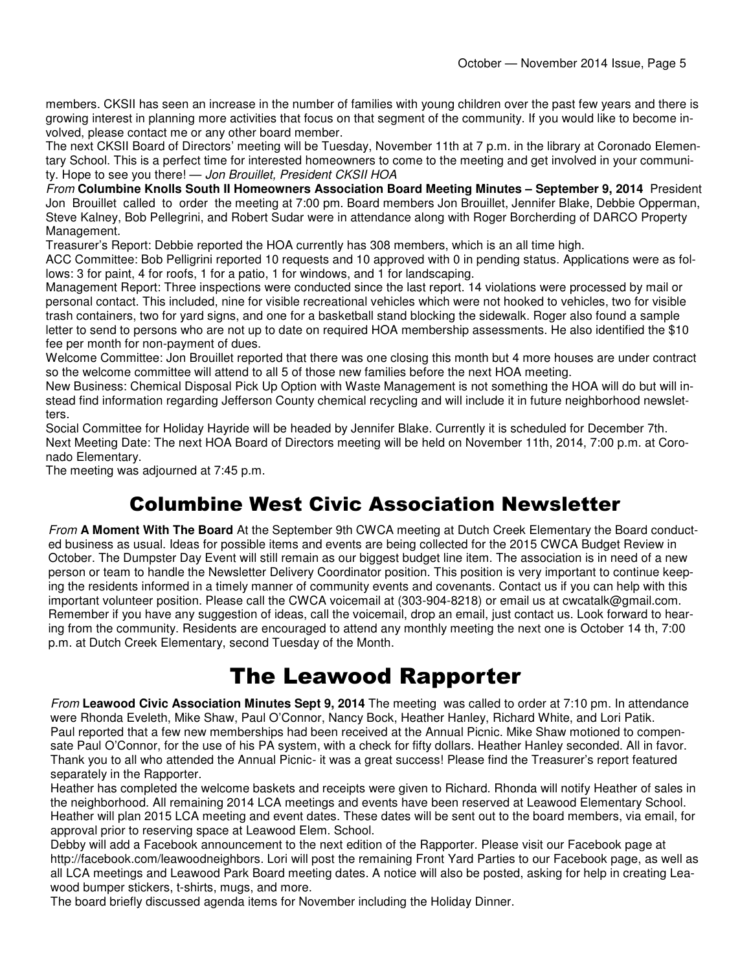members. CKSII has seen an increase in the number of families with young children over the past few years and there is growing interest in planning more activities that focus on that segment of the community. If you would like to become involved, please contact me or any other board member.

The next CKSII Board of Directors' meeting will be Tuesday, November 11th at 7 p.m. in the library at Coronado Elementary School. This is a perfect time for interested homeowners to come to the meeting and get involved in your community. Hope to see you there! - Jon Brouillet, President CKSII HOA

From **Columbine Knolls South II Homeowners Association Board Meeting Minutes – September 9, 2014** President Jon Brouillet called to order the meeting at 7:00 pm. Board members Jon Brouillet, Jennifer Blake, Debbie Opperman, Steve Kalney, Bob Pellegrini, and Robert Sudar were in attendance along with Roger Borcherding of DARCO Property Management.

Treasurer's Report: Debbie reported the HOA currently has 308 members, which is an all time high.

ACC Committee: Bob Pelligrini reported 10 requests and 10 approved with 0 in pending status. Applications were as follows: 3 for paint, 4 for roofs, 1 for a patio, 1 for windows, and 1 for landscaping.

Management Report: Three inspections were conducted since the last report. 14 violations were processed by mail or personal contact. This included, nine for visible recreational vehicles which were not hooked to vehicles, two for visible trash containers, two for yard signs, and one for a basketball stand blocking the sidewalk. Roger also found a sample letter to send to persons who are not up to date on required HOA membership assessments. He also identified the \$10 fee per month for non-payment of dues.

Welcome Committee: Jon Brouillet reported that there was one closing this month but 4 more houses are under contract so the welcome committee will attend to all 5 of those new families before the next HOA meeting.

New Business: Chemical Disposal Pick Up Option with Waste Management is not something the HOA will do but will instead find information regarding Jefferson County chemical recycling and will include it in future neighborhood newsletters.

Social Committee for Holiday Hayride will be headed by Jennifer Blake. Currently it is scheduled for December 7th. Next Meeting Date: The next HOA Board of Directors meeting will be held on November 11th, 2014, 7:00 p.m. at Coronado Elementary.

The meeting was adjourned at 7:45 p.m.

#### Columbine West Civic Association Newsletter

From **A Moment With The Board** At the September 9th CWCA meeting at Dutch Creek Elementary the Board conducted business as usual. Ideas for possible items and events are being collected for the 2015 CWCA Budget Review in October. The Dumpster Day Event will still remain as our biggest budget line item. The association is in need of a new person or team to handle the Newsletter Delivery Coordinator position. This position is very important to continue keeping the residents informed in a timely manner of community events and covenants. Contact us if you can help with this important volunteer position. Please call the CWCA voicemail at (303-904-8218) or email us at cwcatalk@gmail.com. Remember if you have any suggestion of ideas, call the voicemail, drop an email, just contact us. Look forward to hearing from the community. Residents are encouraged to attend any monthly meeting the next one is October 14 th, 7:00 p.m. at Dutch Creek Elementary, second Tuesday of the Month.

### The Leawood Rapporter

From **Leawood Civic Association Minutes Sept 9, 2014** The meeting was called to order at 7:10 pm. In attendance were Rhonda Eveleth, Mike Shaw, Paul O'Connor, Nancy Bock, Heather Hanley, Richard White, and Lori Patik. Paul reported that a few new memberships had been received at the Annual Picnic. Mike Shaw motioned to compensate Paul O'Connor, for the use of his PA system, with a check for fifty dollars. Heather Hanley seconded. All in favor. Thank you to all who attended the Annual Picnic- it was a great success! Please find the Treasurer's report featured separately in the Rapporter.

Heather has completed the welcome baskets and receipts were given to Richard. Rhonda will notify Heather of sales in the neighborhood. All remaining 2014 LCA meetings and events have been reserved at Leawood Elementary School. Heather will plan 2015 LCA meeting and event dates. These dates will be sent out to the board members, via email, for approval prior to reserving space at Leawood Elem. School.

Debby will add a Facebook announcement to the next edition of the Rapporter. Please visit our Facebook page at http://facebook.com/leawoodneighbors. Lori will post the remaining Front Yard Parties to our Facebook page, as well as all LCA meetings and Leawood Park Board meeting dates. A notice will also be posted, asking for help in creating Leawood bumper stickers, t-shirts, mugs, and more.

The board briefly discussed agenda items for November including the Holiday Dinner.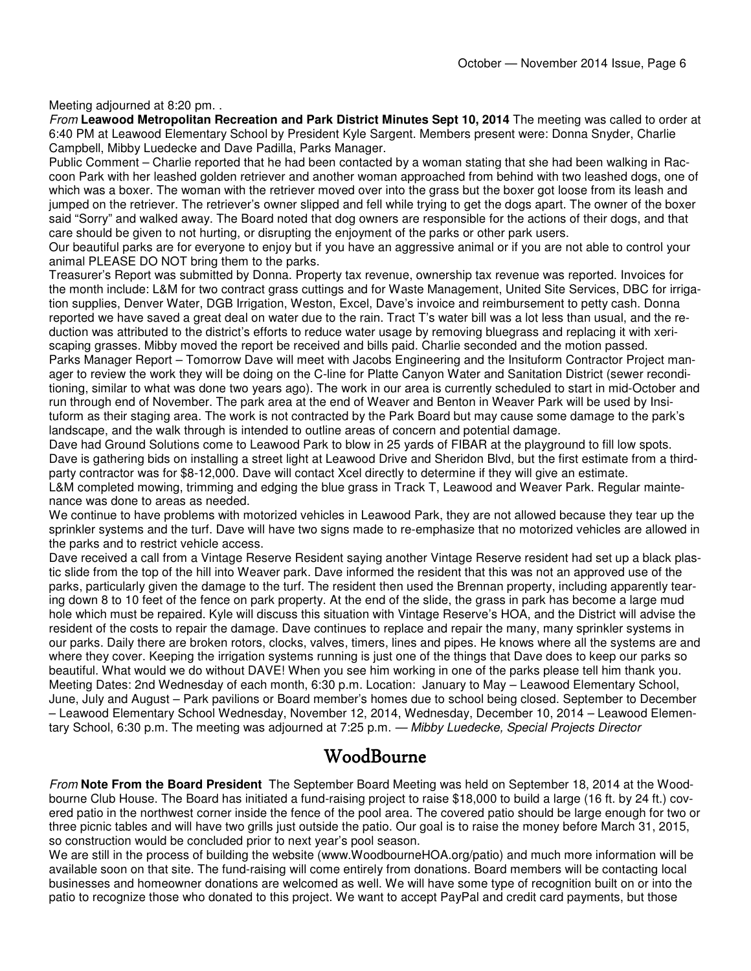Meeting adjourned at 8:20 pm. .

From **Leawood Metropolitan Recreation and Park District Minutes Sept 10, 2014** The meeting was called to order at 6:40 PM at Leawood Elementary School by President Kyle Sargent. Members present were: Donna Snyder, Charlie Campbell, Mibby Luedecke and Dave Padilla, Parks Manager.

Public Comment – Charlie reported that he had been contacted by a woman stating that she had been walking in Raccoon Park with her leashed golden retriever and another woman approached from behind with two leashed dogs, one of which was a boxer. The woman with the retriever moved over into the grass but the boxer got loose from its leash and jumped on the retriever. The retriever's owner slipped and fell while trying to get the dogs apart. The owner of the boxer said "Sorry" and walked away. The Board noted that dog owners are responsible for the actions of their dogs, and that care should be given to not hurting, or disrupting the enjoyment of the parks or other park users.

Our beautiful parks are for everyone to enjoy but if you have an aggressive animal or if you are not able to control your animal PLEASE DO NOT bring them to the parks.

Treasurer's Report was submitted by Donna. Property tax revenue, ownership tax revenue was reported. Invoices for the month include: L&M for two contract grass cuttings and for Waste Management, United Site Services, DBC for irrigation supplies, Denver Water, DGB Irrigation, Weston, Excel, Dave's invoice and reimbursement to petty cash. Donna reported we have saved a great deal on water due to the rain. Tract T's water bill was a lot less than usual, and the reduction was attributed to the district's efforts to reduce water usage by removing bluegrass and replacing it with xeriscaping grasses. Mibby moved the report be received and bills paid. Charlie seconded and the motion passed. Parks Manager Report – Tomorrow Dave will meet with Jacobs Engineering and the Insituform Contractor Project manager to review the work they will be doing on the C-line for Platte Canyon Water and Sanitation District (sewer reconditioning, similar to what was done two years ago). The work in our area is currently scheduled to start in mid-October and run through end of November. The park area at the end of Weaver and Benton in Weaver Park will be used by Insituform as their staging area. The work is not contracted by the Park Board but may cause some damage to the park's landscape, and the walk through is intended to outline areas of concern and potential damage.

Dave had Ground Solutions come to Leawood Park to blow in 25 yards of FIBAR at the playground to fill low spots. Dave is gathering bids on installing a street light at Leawood Drive and Sheridon Blvd, but the first estimate from a thirdparty contractor was for \$8-12,000. Dave will contact Xcel directly to determine if they will give an estimate. L&M completed mowing, trimming and edging the blue grass in Track T, Leawood and Weaver Park. Regular maintenance was done to areas as needed.

We continue to have problems with motorized vehicles in Leawood Park, they are not allowed because they tear up the sprinkler systems and the turf. Dave will have two signs made to re-emphasize that no motorized vehicles are allowed in the parks and to restrict vehicle access.

Dave received a call from a Vintage Reserve Resident saying another Vintage Reserve resident had set up a black plastic slide from the top of the hill into Weaver park. Dave informed the resident that this was not an approved use of the parks, particularly given the damage to the turf. The resident then used the Brennan property, including apparently tearing down 8 to 10 feet of the fence on park property. At the end of the slide, the grass in park has become a large mud hole which must be repaired. Kyle will discuss this situation with Vintage Reserve's HOA, and the District will advise the resident of the costs to repair the damage. Dave continues to replace and repair the many, many sprinkler systems in our parks. Daily there are broken rotors, clocks, valves, timers, lines and pipes. He knows where all the systems are and where they cover. Keeping the irrigation systems running is just one of the things that Dave does to keep our parks so beautiful. What would we do without DAVE! When you see him working in one of the parks please tell him thank you. Meeting Dates: 2nd Wednesday of each month, 6:30 p.m. Location: January to May – Leawood Elementary School, June, July and August – Park pavilions or Board member's homes due to school being closed. September to December – Leawood Elementary School Wednesday, November 12, 2014, Wednesday, December 10, 2014 – Leawood Elementary School, 6:30 p.m. The meeting was adjourned at 7:25 p.m. — Mibby Luedecke, Special Projects Director

#### WoodBourne

From **Note From the Board President** The September Board Meeting was held on September 18, 2014 at the Woodbourne Club House. The Board has initiated a fund-raising project to raise \$18,000 to build a large (16 ft. by 24 ft.) covered patio in the northwest corner inside the fence of the pool area. The covered patio should be large enough for two or three picnic tables and will have two grills just outside the patio. Our goal is to raise the money before March 31, 2015, so construction would be concluded prior to next year's pool season.

We are still in the process of building the website (www.WoodbourneHOA.org/patio) and much more information will be available soon on that site. The fund-raising will come entirely from donations. Board members will be contacting local businesses and homeowner donations are welcomed as well. We will have some type of recognition built on or into the patio to recognize those who donated to this project. We want to accept PayPal and credit card payments, but those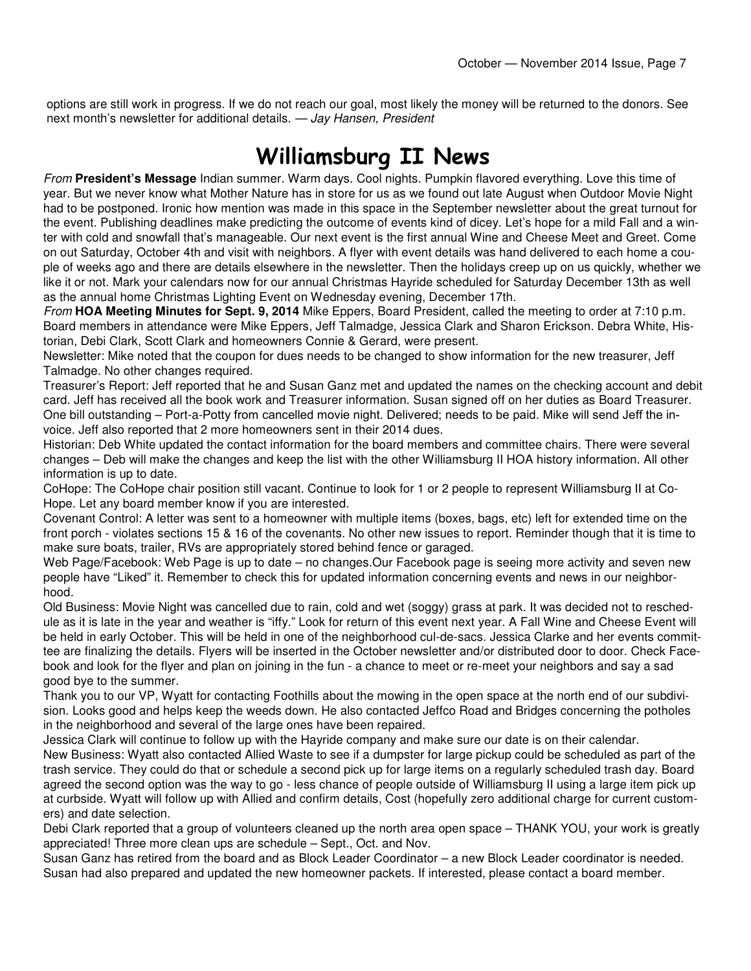options are still work in progress. If we do not reach our goal, most likely the money will be returned to the donors. See next month's newsletter for additional details. — Jay Hansen, President

### Williamsburg II News

From **President's Message** Indian summer. Warm days. Cool nights. Pumpkin flavored everything. Love this time of year. But we never know what Mother Nature has in store for us as we found out late August when Outdoor Movie Night had to be postponed. Ironic how mention was made in this space in the September newsletter about the great turnout for the event. Publishing deadlines make predicting the outcome of events kind of dicey. Let's hope for a mild Fall and a winter with cold and snowfall that's manageable. Our next event is the first annual Wine and Cheese Meet and Greet. Come on out Saturday, October 4th and visit with neighbors. A flyer with event details was hand delivered to each home a couple of weeks ago and there are details elsewhere in the newsletter. Then the holidays creep up on us quickly, whether we like it or not. Mark your calendars now for our annual Christmas Hayride scheduled for Saturday December 13th as well as the annual home Christmas Lighting Event on Wednesday evening, December 17th.

From **HOA Meeting Minutes for Sept. 9, 2014** Mike Eppers, Board President, called the meeting to order at 7:10 p.m. Board members in attendance were Mike Eppers, Jeff Talmadge, Jessica Clark and Sharon Erickson. Debra White, Historian, Debi Clark, Scott Clark and homeowners Connie & Gerard, were present.

Newsletter: Mike noted that the coupon for dues needs to be changed to show information for the new treasurer, Jeff Talmadge. No other changes required.

Treasurer's Report: Jeff reported that he and Susan Ganz met and updated the names on the checking account and debit card. Jeff has received all the book work and Treasurer information. Susan signed off on her duties as Board Treasurer. One bill outstanding – Port-a-Potty from cancelled movie night. Delivered; needs to be paid. Mike will send Jeff the invoice. Jeff also reported that 2 more homeowners sent in their 2014 dues.

Historian: Deb White updated the contact information for the board members and committee chairs. There were several changes – Deb will make the changes and keep the list with the other Williamsburg II HOA history information. All other information is up to date.

CoHope: The CoHope chair position still vacant. Continue to look for 1 or 2 people to represent Williamsburg II at Co-Hope. Let any board member know if you are interested.

Covenant Control: A letter was sent to a homeowner with multiple items (boxes, bags, etc) left for extended time on the front porch - violates sections 15 & 16 of the covenants. No other new issues to report. Reminder though that it is time to make sure boats, trailer, RVs are appropriately stored behind fence or garaged.

Web Page/Facebook: Web Page is up to date – no changes.Our Facebook page is seeing more activity and seven new people have "Liked" it. Remember to check this for updated information concerning events and news in our neighborhood.

Old Business: Movie Night was cancelled due to rain, cold and wet (soggy) grass at park. It was decided not to reschedule as it is late in the year and weather is "iffy." Look for return of this event next year. A Fall Wine and Cheese Event will be held in early October. This will be held in one of the neighborhood cul-de-sacs. Jessica Clarke and her events committee are finalizing the details. Flyers will be inserted in the October newsletter and/or distributed door to door. Check Facebook and look for the flyer and plan on joining in the fun - a chance to meet or re-meet your neighbors and say a sad good bye to the summer.

Thank you to our VP, Wyatt for contacting Foothills about the mowing in the open space at the north end of our subdivision. Looks good and helps keep the weeds down. He also contacted Jeffco Road and Bridges concerning the potholes in the neighborhood and several of the large ones have been repaired.

Jessica Clark will continue to follow up with the Hayride company and make sure our date is on their calendar.

New Business: Wyatt also contacted Allied Waste to see if a dumpster for large pickup could be scheduled as part of the trash service. They could do that or schedule a second pick up for large items on a regularly scheduled trash day. Board agreed the second option was the way to go - less chance of people outside of Williamsburg II using a large item pick up at curbside. Wyatt will follow up with Allied and confirm details, Cost (hopefully zero additional charge for current customers) and date selection.

Debi Clark reported that a group of volunteers cleaned up the north area open space – THANK YOU, your work is greatly appreciated! Three more clean ups are schedule – Sept., Oct. and Nov.

Susan Ganz has retired from the board and as Block Leader Coordinator – a new Block Leader coordinator is needed. Susan had also prepared and updated the new homeowner packets. If interested, please contact a board member.